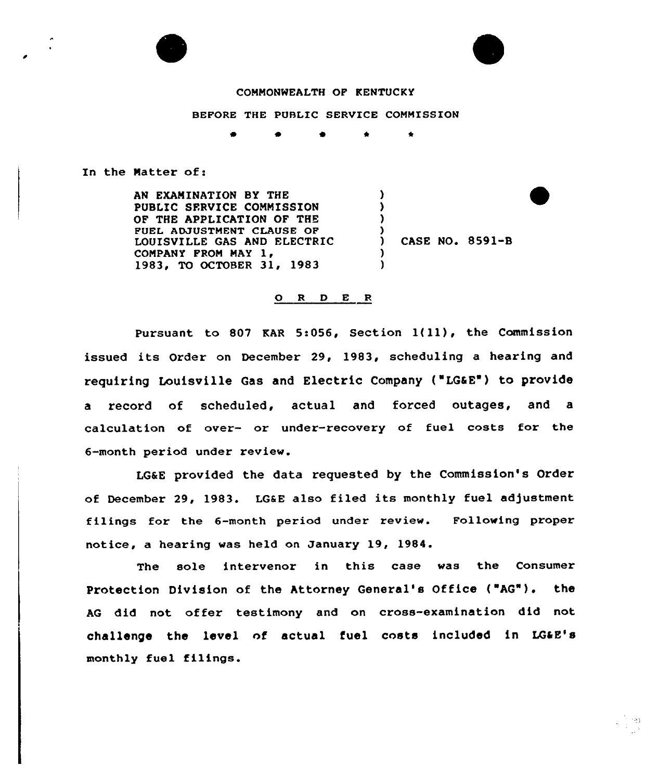

BEFORE THE PUBLIC SERVICE COMMISSION

 $\bullet$  $\bullet$ 

In the Matter of:

AN EXAMINATION BY THE PUBLIC SFRVICE COMMISSION OF THE APPLICATION OF THE FUEL ADJUSTNEMT CLAUSE OF LOUISVILLE GAS AND ELECTRIC COMPANY FROM MAY 1, 1983, TO OCTOBER 31, 1983 ) ) )  $\lambda$ ) CASE NO. 8591-B ) )

## O R D E R

Pursuant to <sup>807</sup> EAR 5:056, Section l(ll), the Commission issued its Order on December 29, 1983, scheduling <sup>a</sup> hearing and requiring Louisville Gas and Electric Company ("LGaE') to provide a record of scheduled, actual and forced outages, and a calculation of over- or under-recovery of fuel costs for the 6-month period under review.

LGaE provided the data requested by the Commission's Order of December 29, 1983. LG&E also filed its monthly fuel adjustment filings for the 6-month period under review. Following proper notice, a hearing was held on January 19, 1984.

The sole intervenor in this case was the Consumer Protection Division of the Attorney General's Office ('AG"). the AG did not offer testimony and on cross-examination did not challenge the level of actual fuel costs included in LG&E's monthly fuel fi1ings.